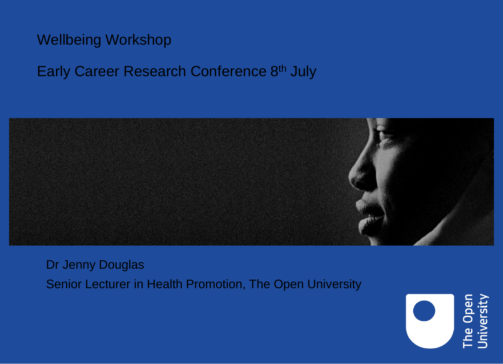#### Wellbeing Workshop

#### Early Career Research Conference 8th July



Dr Jenny Douglas Senior Lecturer in Health Promotion, The Open University

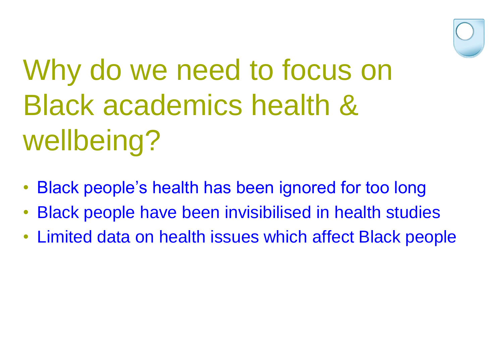

# Why do we need to focus on Black academics health & wellbeing?

- Black people's health has been ignored for too long
- Black people have been invisibilised in health studies
- Limited data on health issues which affect Black people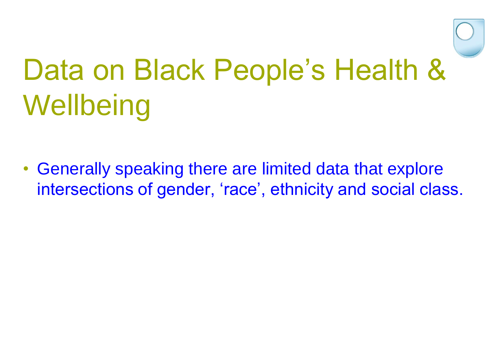

• Generally speaking there are limited data that explore intersections of gender, 'race', ethnicity and social class.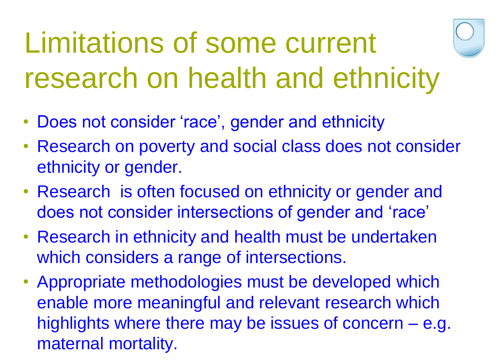# Limitations of some current research on health and ethnicity

- Does not consider 'race', gender and ethnicity
- Research on poverty and social class does not consider ethnicity or gender.
- Research is often focused on ethnicity or gender and does not consider intersections of gender and 'race'
- Research in ethnicity and health must be undertaken which considers a range of intersections.
- Appropriate methodologies must be developed which enable more meaningful and relevant research which highlights where there may be issues of concern – e.g. maternal mortality.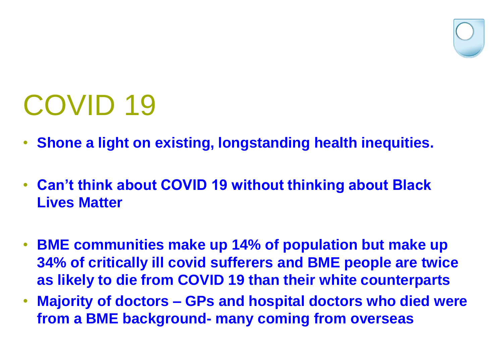

### COVID 19

- **Shone a light on existing, longstanding health inequities.**
- **Can't think about COVID 19 without thinking about Black Lives Matter**
- **BME communities make up 14% of population but make up 34% of critically ill covid sufferers and BME people are twice as likely to die from COVID 19 than their white counterparts**
- **Majority of doctors – GPs and hospital doctors who died were from a BME background- many coming from overseas**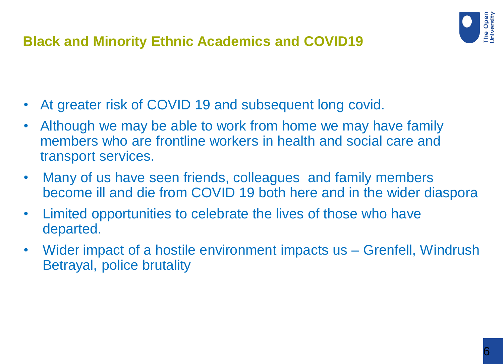

#### **Black and Minority Ethnic Academics and COVID19**

- At greater risk of COVID 19 and subsequent long covid.
- Although we may be able to work from home we may have family members who are frontline workers in health and social care and transport services.
- Many of us have seen friends, colleagues and family members become ill and die from COVID 19 both here and in the wider diaspora
- Limited opportunities to celebrate the lives of those who have departed.
- Wider impact of a hostile environment impacts us Grenfell, Windrush Betrayal, police brutality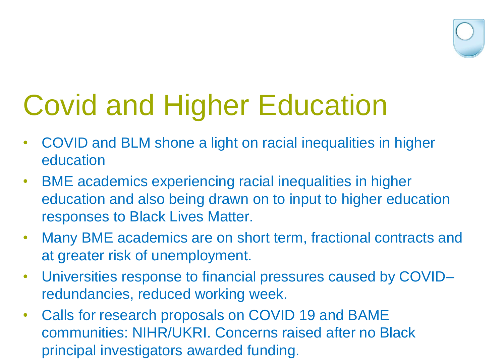

### Covid and Higher Education

- COVID and BLM shone a light on racial inequalities in higher education
- BME academics experiencing racial inequalities in higher education and also being drawn on to input to higher education responses to Black Lives Matter.
- Many BME academics are on short term, fractional contracts and at greater risk of unemployment.
- Universities response to financial pressures caused by COVID– redundancies, reduced working week.
- Calls for research proposals on COVID 19 and BAME communities: NIHR/UKRI. Concerns raised after no Black principal investigators awarded funding.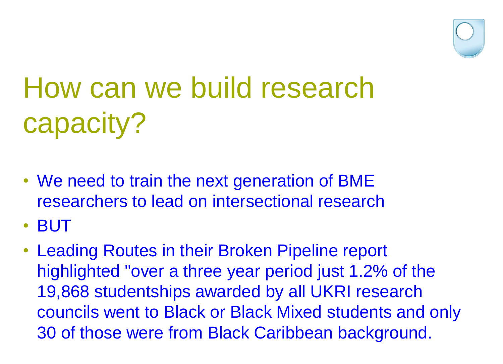

# How can we build research capacity?

- We need to train the next generation of BME researchers to lead on intersectional research
- BUT
- Leading Routes in their Broken Pipeline report highlighted "over a three year period just 1.2% of the 19,868 studentships awarded by all UKRI research councils went to Black or Black Mixed students and only 30 of those were from Black Caribbean background.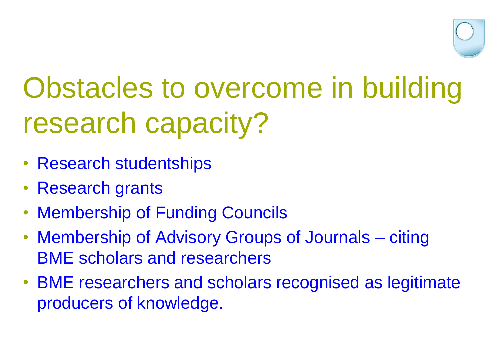

### Obstacles to overcome in building research capacity?

- Research studentships
- Research grants
- Membership of Funding Councils
- Membership of Advisory Groups of Journals citing BME scholars and researchers
- BME researchers and scholars recognised as legitimate producers of knowledge.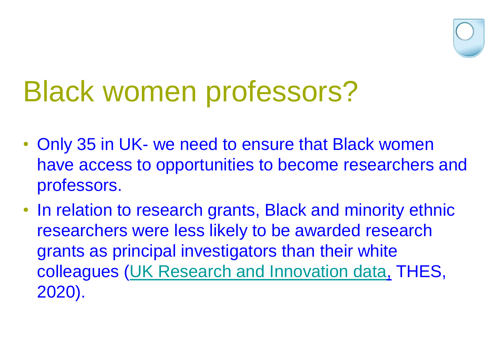

### Black women professors?

- Only 35 in UK- we need to ensure that Black women have access to opportunities to become researchers and professors.
- In relation to research grants, Black and minority ethnic researchers were less likely to be awarded research grants as principal investigators than their white colleagues [\(UK Research and Innovation data,](https://www.ukri.org/news/ukri-publishes-harmonised-diversity-data/) THES, 2020).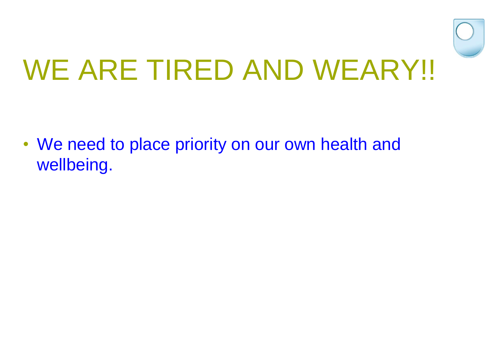

• We need to place priority on our own health and wellbeing.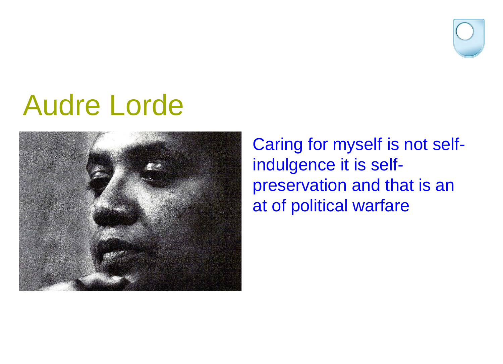

#### Audre Lorde



Caring for myself is not selfindulgence it is selfpreservation and that is an at of political warfare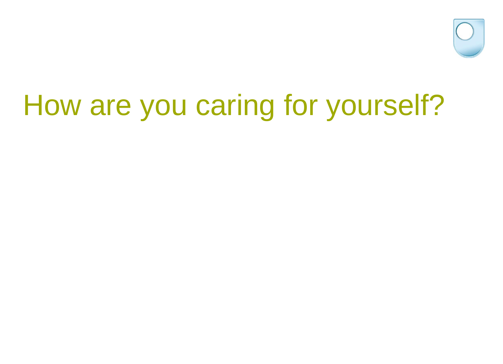

## How are you caring for yourself?

- 
- -
-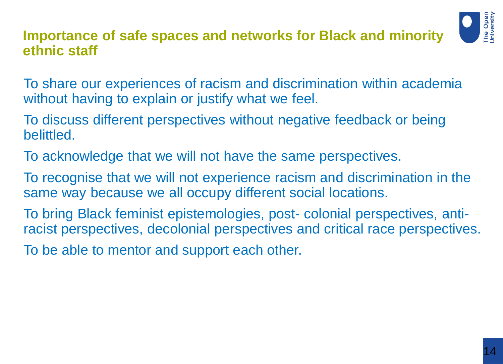#### **Importance of safe spaces and networks for Black and minority ethnic staff**



- To share our experiences of racism and discrimination within academia without having to explain or justify what we feel.
- To discuss different perspectives without negative feedback or being belittled.
- To acknowledge that we will not have the same perspectives.
- To recognise that we will not experience racism and discrimination in the same way because we all occupy different social locations.
- To bring Black feminist epistemologies, post- colonial perspectives, antiracist perspectives, decolonial perspectives and critical race perspectives.
- To be able to mentor and support each other.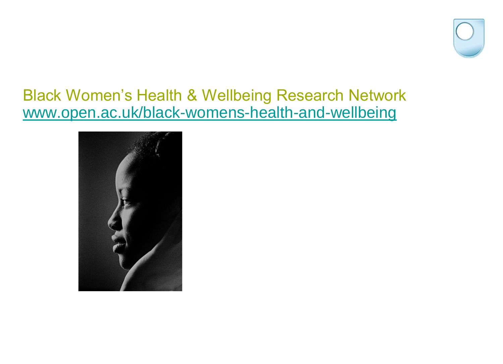

#### Black Women's Health & Wellbeing Research Network [www.open.ac.uk/black-womens-health-and-wellbeing](http://www.open.ac.uk/black-womens-health-and-wellbeing)